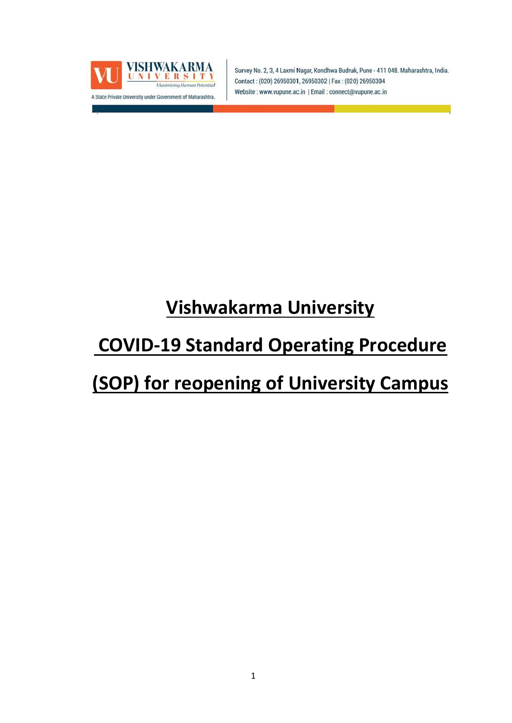

Survey No. 2, 3, 4 Laxmi Nagar, Kondhwa Budruk, Pune - 411 048. Maharashtra, India. Contact: (020) 26950301, 26950302 | Fax: (020) 26950304 Website: www.vupune.ac.in | Email: connect@vupune.ac.in

# **Vishwakarma University**

## **COVID-19 Standard Operating Procedure**

## **(SOP) for reopening of University Campus**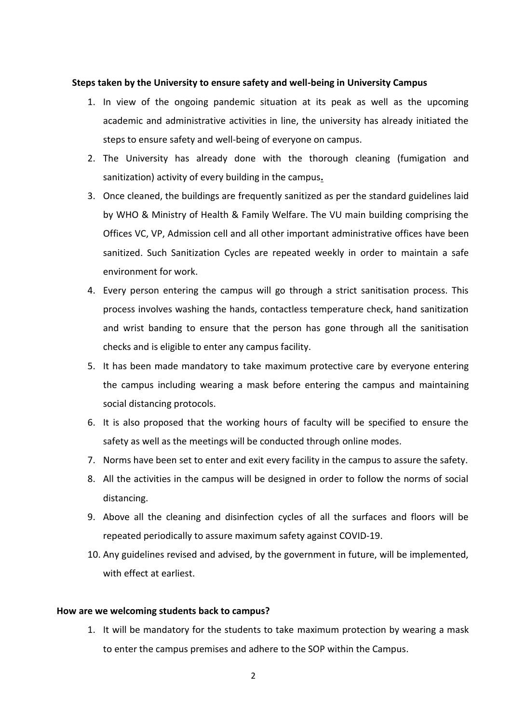#### **Steps taken by the University to ensure safety and well-being in University Campus**

- 1. In view of the ongoing pandemic situation at its peak as well as the upcoming academic and administrative activities in line, the university has already initiated the steps to ensure safety and well-being of everyone on campus.
- 2. The University has already done with the thorough cleaning (fumigation and sanitization) activity of every building in the campus**.**
- 3. Once cleaned, the buildings are frequently sanitized as per the standard guidelines laid by WHO & Ministry of Health & Family Welfare. The VU main building comprising the Offices VC, VP, Admission cell and all other important administrative offices have been sanitized. Such Sanitization Cycles are repeated weekly in order to maintain a safe environment for work.
- 4. Every person entering the campus will go through a strict sanitisation process. This process involves washing the hands, contactless temperature check, hand sanitization and wrist banding to ensure that the person has gone through all the sanitisation checks and is eligible to enter any campus facility.
- 5. It has been made mandatory to take maximum protective care by everyone entering the campus including wearing a mask before entering the campus and maintaining social distancing protocols.
- 6. It is also proposed that the working hours of faculty will be specified to ensure the safety as well as the meetings will be conducted through online modes.
- 7. Norms have been set to enter and exit every facility in the campus to assure the safety.
- 8. All the activities in the campus will be designed in order to follow the norms of social distancing.
- 9. Above all the cleaning and disinfection cycles of all the surfaces and floors will be repeated periodically to assure maximum safety against COVID-19.
- 10. Any guidelines revised and advised, by the government in future, will be implemented, with effect at earliest.

#### **How are we welcoming students back to campus?**

1. It will be mandatory for the students to take maximum protection by wearing a mask to enter the campus premises and adhere to the SOP within the Campus.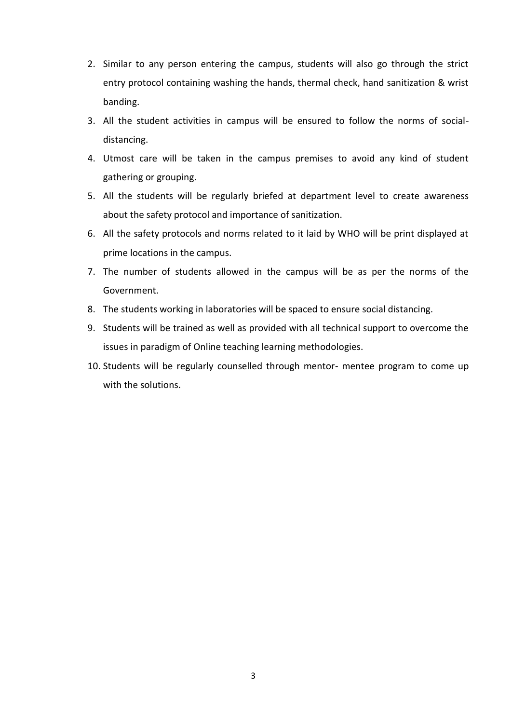- 2. Similar to any person entering the campus, students will also go through the strict entry protocol containing washing the hands, thermal check, hand sanitization & wrist banding.
- 3. All the student activities in campus will be ensured to follow the norms of socialdistancing.
- 4. Utmost care will be taken in the campus premises to avoid any kind of student gathering or grouping.
- 5. All the students will be regularly briefed at department level to create awareness about the safety protocol and importance of sanitization.
- 6. All the safety protocols and norms related to it laid by WHO will be print displayed at prime locations in the campus.
- 7. The number of students allowed in the campus will be as per the norms of the Government.
- 8. The students working in laboratories will be spaced to ensure social distancing.
- 9. Students will be trained as well as provided with all technical support to overcome the issues in paradigm of Online teaching learning methodologies.
- 10. Students will be regularly counselled through mentor- mentee program to come up with the solutions.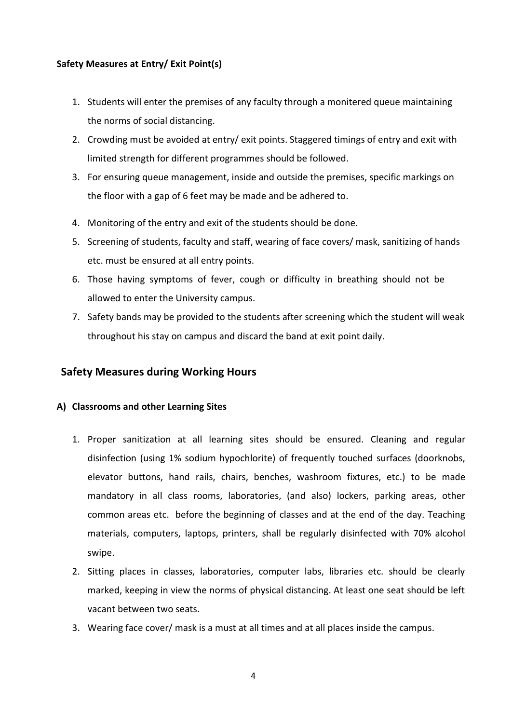## **Safety Measures at Entry/ Exit Point(s)**

- 1. Students will enter the premises of any faculty through a monitered queue maintaining the norms of social distancing.
- 2. Crowding must be avoided at entry/ exit points. Staggered timings of entry and exit with limited strength for different programmes should be followed.
- 3. For ensuring queue management, inside and outside the premises, specific markings on the floor with a gap of 6 feet may be made and be adhered to.
- 4. Monitoring of the entry and exit of the students should be done.
- 5. Screening of students, faculty and staff, wearing of face covers/ mask, sanitizing of hands etc. must be ensured at all entry points.
- 6. Those having symptoms of fever, cough or difficulty in breathing should not be allowed to enter the University campus.
- 7. Safety bands may be provided to the students after screening which the student will weak throughout his stay on campus and discard the band at exit point daily.

## **Safety Measures during Working Hours**

## **A) Classrooms and other Learning Sites**

- 1. Proper sanitization at all learning sites should be ensured. Cleaning and regular disinfection (using 1% sodium hypochlorite) of frequently touched surfaces (doorknobs, elevator buttons, hand rails, chairs, benches, washroom fixtures, etc.) to be made mandatory in all class rooms, laboratories, (and also) lockers, parking areas, other common areas etc. before the beginning of classes and at the end of the day. Teaching materials, computers, laptops, printers, shall be regularly disinfected with 70% alcohol swipe.
- 2. Sitting places in classes, laboratories, computer labs, libraries etc. should be clearly marked, keeping in view the norms of physical distancing. At least one seat should be left vacant between two seats.
- 3. Wearing face cover/ mask is a must at all times and at all places inside the campus.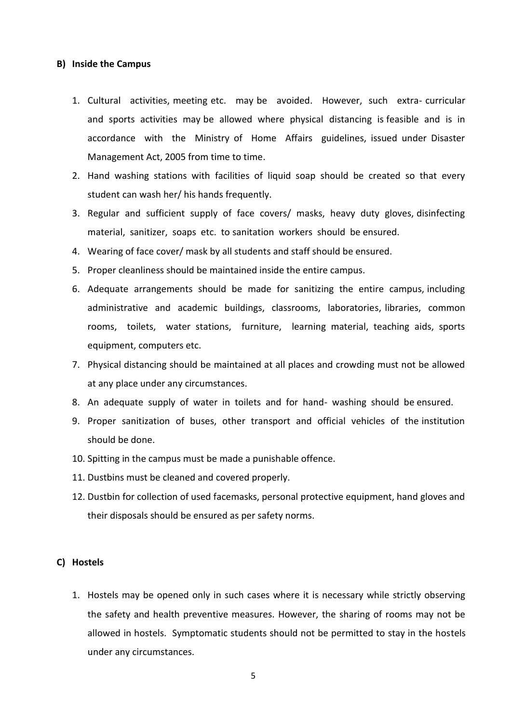#### **B) Inside the Campus**

- 1. Cultural activities, meeting etc. may be avoided. However, such extra- curricular and sports activities may be allowed where physical distancing is feasible and is in accordance with the Ministry of Home Affairs guidelines, issued under Disaster Management Act, 2005 from time to time.
- 2. Hand washing stations with facilities of liquid soap should be created so that every student can wash her/ his hands frequently.
- 3. Regular and sufficient supply of face covers/ masks, heavy duty gloves, disinfecting material, sanitizer, soaps etc. to sanitation workers should be ensured.
- 4. Wearing of face cover/ mask by all students and staff should be ensured.
- 5. Proper cleanliness should be maintained inside the entire campus.
- 6. Adequate arrangements should be made for sanitizing the entire campus, including administrative and academic buildings, classrooms, laboratories, libraries, common rooms, toilets, water stations, furniture, learning material, teaching aids, sports equipment, computers etc.
- 7. Physical distancing should be maintained at all places and crowding must not be allowed at any place under any circumstances.
- 8. An adequate supply of water in toilets and for hand- washing should be ensured.
- 9. Proper sanitization of buses, other transport and official vehicles of the institution should be done.
- 10. Spitting in the campus must be made a punishable offence.
- 11. Dustbins must be cleaned and covered properly.
- 12. Dustbin for collection of used facemasks, personal protective equipment, hand gloves and their disposals should be ensured as per safety norms.

#### **C) Hostels**

1. Hostels may be opened only in such cases where it is necessary while strictly observing the safety and health preventive measures. However, the sharing of rooms may not be allowed in hostels. Symptomatic students should not be permitted to stay in the hostels under any circumstances.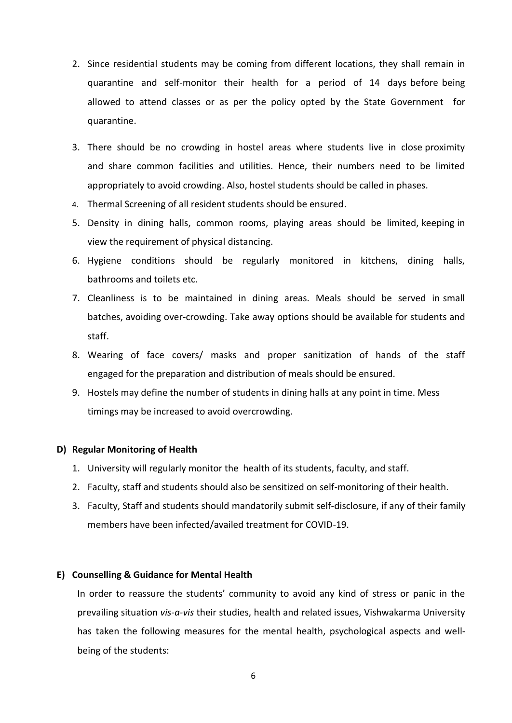- 2. Since residential students may be coming from different locations, they shall remain in quarantine and self-monitor their health for a period of 14 days before being allowed to attend classes or as per the policy opted by the State Government for quarantine.
- 3. There should be no crowding in hostel areas where students live in close proximity and share common facilities and utilities. Hence, their numbers need to be limited appropriately to avoid crowding. Also, hostel students should be called in phases.
- 4. Thermal Screening of all resident students should be ensured.
- 5. Density in dining halls, common rooms, playing areas should be limited, keeping in view the requirement of physical distancing.
- 6. Hygiene conditions should be regularly monitored in kitchens, dining halls, bathrooms and toilets etc.
- 7. Cleanliness is to be maintained in dining areas. Meals should be served in small batches, avoiding over-crowding. Take away options should be available for students and staff.
- 8. Wearing of face covers/ masks and proper sanitization of hands of the staff engaged for the preparation and distribution of meals should be ensured.
- 9. Hostels may define the number of students in dining halls at any point in time. Mess timings may be increased to avoid overcrowding.

## **D) Regular Monitoring of Health**

- 1. University will regularly monitor the health of its students, faculty, and staff.
- 2. Faculty, staff and students should also be sensitized on self-monitoring of their health.
- 3. Faculty, Staff and students should mandatorily submit self-disclosure, if any of their family members have been infected/availed treatment for COVID-19.

## **E) Counselling & Guidance for Mental Health**

In order to reassure the students' community to avoid any kind of stress or panic in the prevailing situation *vis-a-vis* their studies, health and related issues, Vishwakarma University has taken the following measures for the mental health, psychological aspects and wellbeing of the students: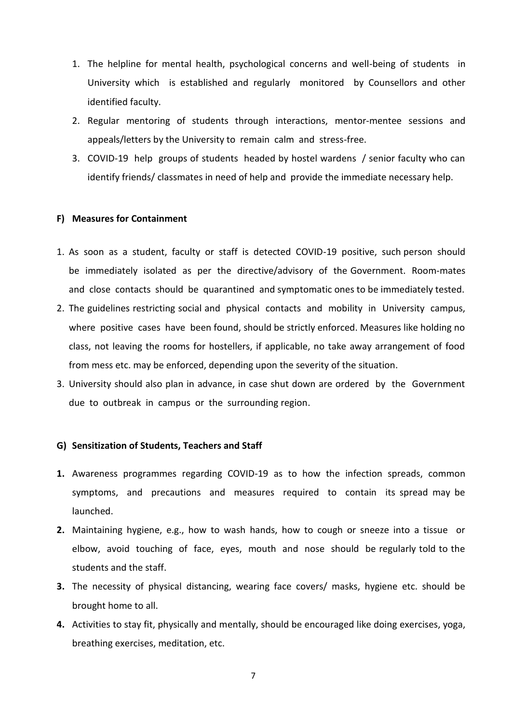- 1. The helpline for mental health, psychological concerns and well-being of students in University which is established and regularly monitored by Counsellors and other identified faculty.
- 2. Regular mentoring of students through interactions, mentor-mentee sessions and appeals/letters by the University to remain calm and stress-free.
- 3. COVID-19 help groups of students headed by hostel wardens / senior faculty who can identify friends/ classmates in need of help and provide the immediate necessary help.

### **F) Measures for Containment**

- 1. As soon as a student, faculty or staff is detected COVID-19 positive, such person should be immediately isolated as per the directive/advisory of the Government. Room-mates and close contacts should be quarantined and symptomatic ones to be immediately tested.
- 2. The guidelines restricting social and physical contacts and mobility in University campus, where positive cases have been found, should be strictly enforced. Measures like holding no class, not leaving the rooms for hostellers, if applicable, no take away arrangement of food from mess etc. may be enforced, depending upon the severity of the situation.
- 3. University should also plan in advance, in case shut down are ordered by the Government due to outbreak in campus or the surrounding region.

#### **G) Sensitization of Students, Teachers and Staff**

- **1.** Awareness programmes regarding COVID-19 as to how the infection spreads, common symptoms, and precautions and measures required to contain its spread may be launched.
- **2.** Maintaining hygiene, e.g., how to wash hands, how to cough or sneeze into a tissue or elbow, avoid touching of face, eyes, mouth and nose should be regularly told to the students and the staff.
- **3.** The necessity of physical distancing, wearing face covers/ masks, hygiene etc. should be brought home to all.
- **4.** Activities to stay fit, physically and mentally, should be encouraged like doing exercises, yoga, breathing exercises, meditation, etc.